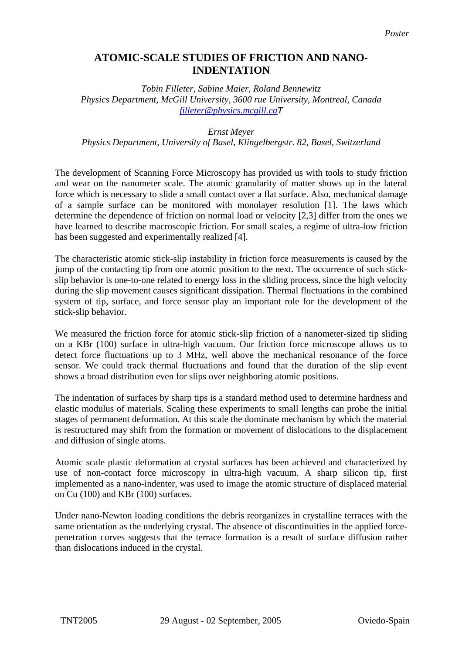## **ATOMIC-SCALE STUDIES OF FRICTION AND NANO-INDENTATION**

*Tobin Filleter, Sabine Maier, Roland Bennewitz Physics Department, McGill University, 3600 rue University, Montreal, Canada [filleter@physics.mcgill.caT](mailto:filleter@physics.mcgill.ca)*

## *Ernst Meyer*

*Physics Department, University of Basel, Klingelbergstr. 82, Basel, Switzerland* 

The development of Scanning Force Microscopy has provided us with tools to study friction and wear on the nanometer scale. The atomic granularity of matter shows up in the lateral force which is necessary to slide a small contact over a flat surface. Also, mechanical damage of a sample surface can be monitored with monolayer resolution [1]. The laws which determine the dependence of friction on normal load or velocity [2,3] differ from the ones we have learned to describe macroscopic friction. For small scales, a regime of ultra-low friction has been suggested and experimentally realized [4].

The characteristic atomic stick-slip instability in friction force measurements is caused by the jump of the contacting tip from one atomic position to the next. The occurrence of such stickslip behavior is one-to-one related to energy loss in the sliding process, since the high velocity during the slip movement causes significant dissipation. Thermal fluctuations in the combined system of tip, surface, and force sensor play an important role for the development of the stick-slip behavior.

We measured the friction force for atomic stick-slip friction of a nanometer-sized tip sliding on a KBr (100) surface in ultra-high vacuum. Our friction force microscope allows us to detect force fluctuations up to 3 MHz, well above the mechanical resonance of the force sensor. We could track thermal fluctuations and found that the duration of the slip event shows a broad distribution even for slips over neighboring atomic positions.

The indentation of surfaces by sharp tips is a standard method used to determine hardness and elastic modulus of materials. Scaling these experiments to small lengths can probe the initial stages of permanent deformation. At this scale the dominate mechanism by which the material is restructured may shift from the formation or movement of dislocations to the displacement and diffusion of single atoms.

Atomic scale plastic deformation at crystal surfaces has been achieved and characterized by use of non-contact force microscopy in ultra-high vacuum. A sharp silicon tip, first implemented as a nano-indenter, was used to image the atomic structure of displaced material on Cu (100) and KBr (100) surfaces.

Under nano-Newton loading conditions the debris reorganizes in crystalline terraces with the same orientation as the underlying crystal. The absence of discontinuities in the applied forcepenetration curves suggests that the terrace formation is a result of surface diffusion rather than dislocations induced in the crystal.